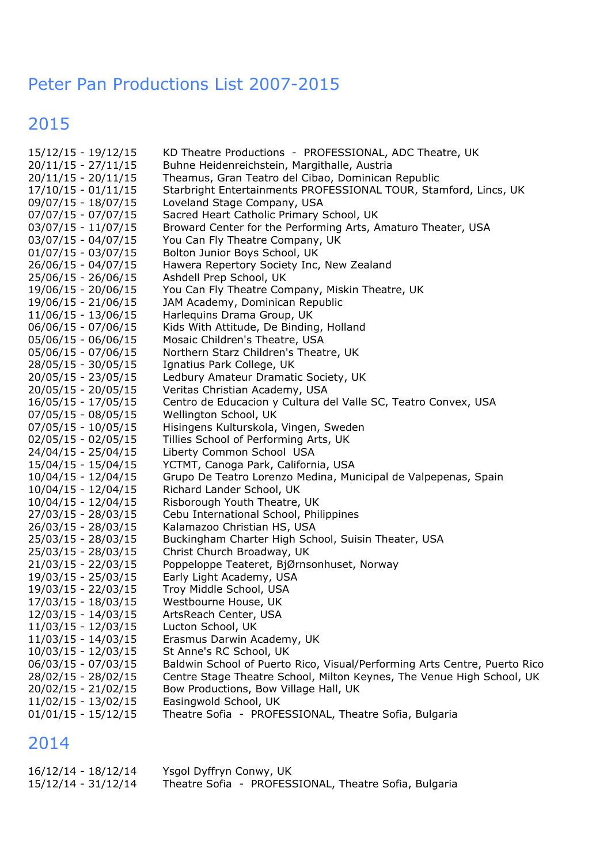#### Peter Pan Productions List 2007-2015

### 2015

| 15/12/15 - 19/12/15   | KD Theatre Productions - PROFESSIONAL, ADC Theatre, UK                    |
|-----------------------|---------------------------------------------------------------------------|
| $20/11/15 - 27/11/15$ | Buhne Heidenreichstein, Margithalle, Austria                              |
| $20/11/15 - 20/11/15$ | Theamus, Gran Teatro del Cibao, Dominican Republic                        |
| $17/10/15 - 01/11/15$ | Starbright Entertainments PROFESSIONAL TOUR, Stamford, Lincs, UK          |
| 09/07/15 - 18/07/15   | Loveland Stage Company, USA                                               |
| $07/07/15 - 07/07/15$ | Sacred Heart Catholic Primary School, UK                                  |
| $03/07/15 - 11/07/15$ | Broward Center for the Performing Arts, Amaturo Theater, USA              |
| $03/07/15 - 04/07/15$ | You Can Fly Theatre Company, UK                                           |
| $01/07/15 - 03/07/15$ | Bolton Junior Boys School, UK                                             |
| 26/06/15 - 04/07/15   | Hawera Repertory Society Inc, New Zealand                                 |
| 25/06/15 - 26/06/15   | Ashdell Prep School, UK                                                   |
| 19/06/15 - 20/06/15   | You Can Fly Theatre Company, Miskin Theatre, UK                           |
| 19/06/15 - 21/06/15   | JAM Academy, Dominican Republic                                           |
| 11/06/15 - 13/06/15   | Harlequins Drama Group, UK                                                |
| 06/06/15 - 07/06/15   | Kids With Attitude, De Binding, Holland                                   |
| $05/06/15 - 06/06/15$ | Mosaic Children's Theatre, USA                                            |
| 05/06/15 - 07/06/15   | Northern Starz Children's Theatre, UK                                     |
| 28/05/15 - 30/05/15   | Ignatius Park College, UK                                                 |
| 20/05/15 - 23/05/15   | Ledbury Amateur Dramatic Society, UK                                      |
| 20/05/15 - 20/05/15   | Veritas Christian Academy, USA                                            |
| 16/05/15 - 17/05/15   | Centro de Educacion y Cultura del Valle SC, Teatro Convex, USA            |
|                       |                                                                           |
| $07/05/15 - 08/05/15$ | Wellington School, UK                                                     |
| 07/05/15 - 10/05/15   | Hisingens Kulturskola, Vingen, Sweden                                     |
| 02/05/15 - 02/05/15   | Tillies School of Performing Arts, UK                                     |
| 24/04/15 - 25/04/15   | Liberty Common School USA                                                 |
| 15/04/15 - 15/04/15   | YCTMT, Canoga Park, California, USA                                       |
| $10/04/15 - 12/04/15$ | Grupo De Teatro Lorenzo Medina, Municipal de Valpepenas, Spain            |
| 10/04/15 - 12/04/15   | Richard Lander School, UK                                                 |
| 10/04/15 - 12/04/15   | Risborough Youth Theatre, UK                                              |
| 27/03/15 - 28/03/15   | Cebu International School, Philippines                                    |
| 26/03/15 - 28/03/15   | Kalamazoo Christian HS, USA                                               |
| 25/03/15 - 28/03/15   | Buckingham Charter High School, Suisin Theater, USA                       |
| 25/03/15 - 28/03/15   | Christ Church Broadway, UK                                                |
| $21/03/15 - 22/03/15$ | Poppeloppe Teateret, BjØrnsonhuset, Norway                                |
| 19/03/15 - 25/03/15   | Early Light Academy, USA                                                  |
| 19/03/15 - 22/03/15   | Troy Middle School, USA                                                   |
| 17/03/15 - 18/03/15   | Westbourne House, UK                                                      |
| 12/03/15 - 14/03/15   | ArtsReach Center, USA                                                     |
| 11/03/15 - 12/03/15   | Lucton School, UK                                                         |
| 11/03/15 - 14/03/15   | Erasmus Darwin Academy, UK                                                |
| 10/03/15 - 12/03/15   | St Anne's RC School, UK                                                   |
| 06/03/15 - 07/03/15   | Baldwin School of Puerto Rico, Visual/Performing Arts Centre, Puerto Rico |
| 28/02/15 - 28/02/15   | Centre Stage Theatre School, Milton Keynes, The Venue High School, UK     |
| 20/02/15 - 21/02/15   | Bow Productions, Bow Village Hall, UK                                     |
| $11/02/15 - 13/02/15$ | Easingwold School, UK                                                     |
| $01/01/15 - 15/12/15$ | Theatre Sofia - PROFESSIONAL, Theatre Sofia, Bulgaria                     |
|                       |                                                                           |

| 16/12/14 - 18/12/14 | Ysgol Dyffryn Conwy, UK |                                                       |  |
|---------------------|-------------------------|-------------------------------------------------------|--|
| 15/12/14 - 31/12/14 |                         | Theatre Sofia - PROFESSIONAL, Theatre Sofia, Bulgaria |  |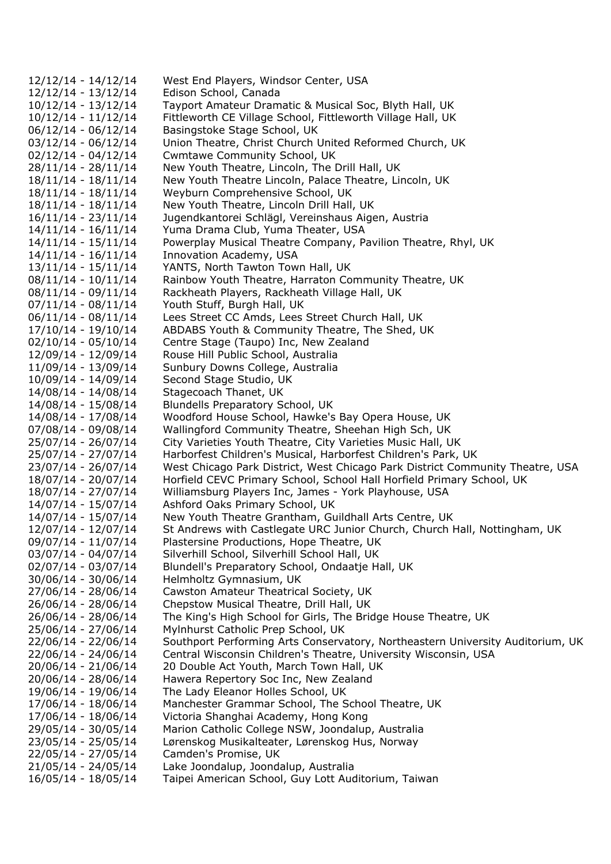12/12/14 - 14/12/14 West End Players, Windsor Center, USA 12/12/14 - 13/12/14 Edison School, Canada 10/12/14 - 13/12/14 Tayport Amateur Dramatic & Musical Soc, Blyth Hall, UK 10/12/14 - 11/12/14 Fittleworth CE Village School, Fittleworth Village Hall, UK 06/12/14 - 06/12/14 Basingstoke Stage School, UK 03/12/14 - 06/12/14 Union Theatre, Christ Church United Reformed Church, UK 02/12/14 - 04/12/14 Cwmtawe Community School, UK 28/11/14 - 28/11/14 New Youth Theatre, Lincoln, The Drill Hall, UK 18/11/14 - 18/11/14 New Youth Theatre Lincoln, Palace Theatre, Lincoln, UK 18/11/14 - 18/11/14 Weyburn Comprehensive School, UK 18/11/14 - 18/11/14 New Youth Theatre, Lincoln Drill Hall, UK 16/11/14 - 23/11/14 Jugendkantorei Schlägl, Vereinshaus Aigen, Austria 14/11/14 - 16/11/14 Yuma Drama Club, Yuma Theater, USA 14/11/14 - 15/11/14 Powerplay Musical Theatre Company, Pavilion Theatre, Rhyl, UK 14/11/14 - 16/11/14 Innovation Academy, USA 13/11/14 - 15/11/14 YANTS, North Tawton Town Hall, UK 08/11/14 - 10/11/14 Rainbow Youth Theatre, Harraton Community Theatre, UK 08/11/14 - 09/11/14 Rackheath Players, Rackheath Village Hall, UK 07/11/14 - 08/11/14 Youth Stuff, Burgh Hall, UK 06/11/14 - 08/11/14 Lees Street CC Amds, Lees Street Church Hall, UK 17/10/14 - 19/10/14 ABDABS Youth & Community Theatre, The Shed, UK 02/10/14 - 05/10/14 Centre Stage (Taupo) Inc, New Zealand 12/09/14 - 12/09/14 Rouse Hill Public School, Australia 11/09/14 - 13/09/14 Sunbury Downs College, Australia 10/09/14 - 14/09/14 Second Stage Studio, UK 14/08/14 - 14/08/14 Stagecoach Thanet, UK 14/08/14 - 15/08/14 Blundells Preparatory School, UK 14/08/14 - 17/08/14 Woodford House School, Hawke's Bay Opera House, UK 07/08/14 - 09/08/14 Wallingford Community Theatre, Sheehan High Sch, UK 25/07/14 - 26/07/14 City Varieties Youth Theatre, City Varieties Music Hall, UK 25/07/14 - 27/07/14 Harborfest Children's Musical, Harborfest Children's Park, UK 23/07/14 - 26/07/14 West Chicago Park District, West Chicago Park District Community Theatre, USA 18/07/14 - 20/07/14 Horfield CEVC Primary School, School Hall Horfield Primary School, UK 18/07/14 - 27/07/14 Williamsburg Players Inc, James - York Playhouse, USA 14/07/14 - 15/07/14 Ashford Oaks Primary School, UK 14/07/14 - 15/07/14 New Youth Theatre Grantham, Guildhall Arts Centre, UK 12/07/14 - 12/07/14 St Andrews with Castlegate URC Junior Church, Church Hall, Nottingham, UK 09/07/14 - 11/07/14 Plastersine Productions, Hope Theatre, UK 03/07/14 - 04/07/14 Silverhill School, Silverhill School Hall, UK 02/07/14 - 03/07/14 Blundell's Preparatory School, Ondaatje Hall, UK 30/06/14 - 30/06/14 Helmholtz Gymnasium, UK 27/06/14 - 28/06/14 Cawston Amateur Theatrical Society, UK 26/06/14 - 28/06/14 Chepstow Musical Theatre, Drill Hall, UK 26/06/14 - 28/06/14 The King's High School for Girls, The Bridge House Theatre, UK 25/06/14 - 27/06/14 Mylnhurst Catholic Prep School, UK 22/06/14 - 22/06/14 Southport Performing Arts Conservatory, Northeastern University Auditorium, UK 22/06/14 - 24/06/14 Central Wisconsin Children's Theatre, University Wisconsin, USA 20/06/14 - 21/06/14 20 Double Act Youth, March Town Hall, UK 20/06/14 - 28/06/14 Hawera Repertory Soc Inc, New Zealand 19/06/14 - 19/06/14 The Lady Eleanor Holles School, UK 17/06/14 - 18/06/14 Manchester Grammar School, The School Theatre, UK 17/06/14 - 18/06/14 Victoria Shanghai Academy, Hong Kong 29/05/14 - 30/05/14 Marion Catholic College NSW, Joondalup, Australia 23/05/14 - 25/05/14 Lørenskog Musikalteater, Lørenskog Hus, Norway 22/05/14 - 27/05/14 Camden's Promise, UK 21/05/14 - 24/05/14 Lake Joondalup, Joondalup, Australia 16/05/14 - 18/05/14 Taipei American School, Guy Lott Auditorium, Taiwan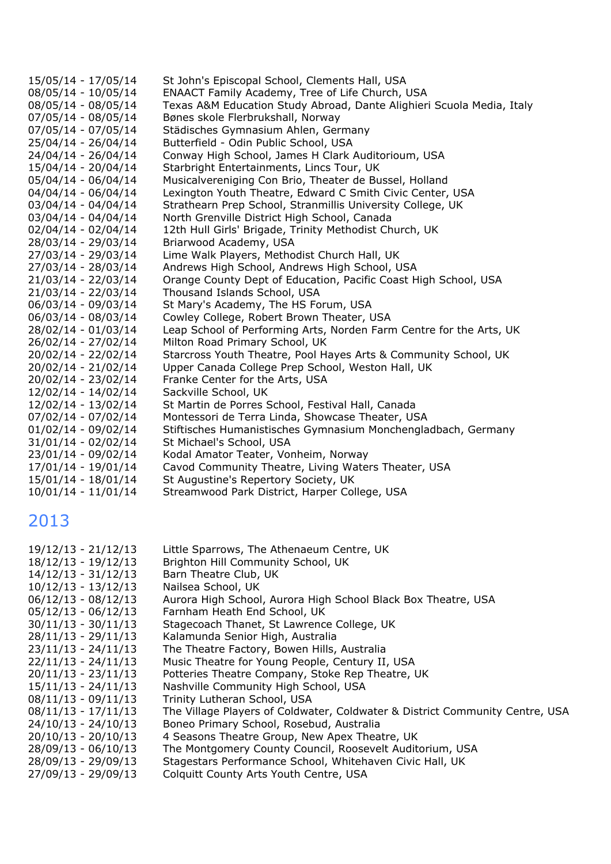| 15/05/14 - 17/05/14   | St John's Episcopal School, Clements Hall, USA                        |
|-----------------------|-----------------------------------------------------------------------|
| 08/05/14 - 10/05/14   | ENAACT Family Academy, Tree of Life Church, USA                       |
| 08/05/14 - 08/05/14   | Texas A&M Education Study Abroad, Dante Alighieri Scuola Media, Italy |
| 07/05/14 - 08/05/14   | Bønes skole Flerbrukshall, Norway                                     |
| 07/05/14 - 07/05/14   | Städisches Gymnasium Ahlen, Germany                                   |
| 25/04/14 - 26/04/14   | Butterfield - Odin Public School, USA                                 |
| 24/04/14 - 26/04/14   | Conway High School, James H Clark Auditorioum, USA                    |
| 15/04/14 - 20/04/14   | Starbright Entertainments, Lincs Tour, UK                             |
| $05/04/14 - 06/04/14$ | Musicalvereniging Con Brio, Theater de Bussel, Holland                |
| $04/04/14 - 06/04/14$ | Lexington Youth Theatre, Edward C Smith Civic Center, USA             |
| $03/04/14 - 04/04/14$ | Strathearn Prep School, Stranmillis University College, UK            |
| $03/04/14 - 04/04/14$ | North Grenville District High School, Canada                          |
| $02/04/14 - 02/04/14$ | 12th Hull Girls' Brigade, Trinity Methodist Church, UK                |
| 28/03/14 - 29/03/14   | Briarwood Academy, USA                                                |
| 27/03/14 - 29/03/14   | Lime Walk Players, Methodist Church Hall, UK                          |
| 27/03/14 - 28/03/14   | Andrews High School, Andrews High School, USA                         |
| 21/03/14 - 22/03/14   | Orange County Dept of Education, Pacific Coast High School, USA       |
| 21/03/14 - 22/03/14   | Thousand Islands School, USA                                          |
| 06/03/14 - 09/03/14   | St Mary's Academy, The HS Forum, USA                                  |
| 06/03/14 - 08/03/14   | Cowley College, Robert Brown Theater, USA                             |
| 28/02/14 - 01/03/14   | Leap School of Performing Arts, Norden Farm Centre for the Arts, UK   |
| 26/02/14 - 27/02/14   | Milton Road Primary School, UK                                        |
| 20/02/14 - 22/02/14   | Starcross Youth Theatre, Pool Hayes Arts & Community School, UK       |
| 20/02/14 - 21/02/14   | Upper Canada College Prep School, Weston Hall, UK                     |
| 20/02/14 - 23/02/14   | Franke Center for the Arts, USA                                       |
| 12/02/14 - 14/02/14   | Sackville School, UK                                                  |
| 12/02/14 - 13/02/14   | St Martin de Porres School, Festival Hall, Canada                     |
| $07/02/14 - 07/02/14$ | Montessori de Terra Linda, Showcase Theater, USA                      |
| $01/02/14 - 09/02/14$ | Stiftisches Humanistisches Gymnasium Monchengladbach, Germany         |
| $31/01/14 - 02/02/14$ | St Michael's School, USA                                              |
| 23/01/14 - 09/02/14   | Kodal Amator Teater, Vonheim, Norway                                  |
| 17/01/14 - 19/01/14   | Cavod Community Theatre, Living Waters Theater, USA                   |
| 15/01/14 - 18/01/14   | St Augustine's Repertory Society, UK                                  |
| $10/01/14 - 11/01/14$ | Streamwood Park District, Harper College, USA                         |

| 19/12/13 - 21/12/13<br>$18/12/13 - 19/12/13$<br>$14/12/13 - 31/12/13$<br>$10/12/13 - 13/12/13$ | Little Sparrows, The Athenaeum Centre, UK<br>Brighton Hill Community School, UK<br>Barn Theatre Club, UK<br>Nailsea School, UK |
|------------------------------------------------------------------------------------------------|--------------------------------------------------------------------------------------------------------------------------------|
| $06/12/13 - 08/12/13$                                                                          | Aurora High School, Aurora High School Black Box Theatre, USA                                                                  |
| $05/12/13 - 06/12/13$                                                                          | Farnham Heath End School, UK                                                                                                   |
| $30/11/13 - 30/11/13$                                                                          | Stagecoach Thanet, St Lawrence College, UK                                                                                     |
| $28/11/13 - 29/11/13$                                                                          | Kalamunda Senior High, Australia                                                                                               |
| $23/11/13 - 24/11/13$                                                                          | The Theatre Factory, Bowen Hills, Australia                                                                                    |
| $22/11/13 - 24/11/13$                                                                          | Music Theatre for Young People, Century II, USA                                                                                |
| $20/11/13 - 23/11/13$                                                                          | Potteries Theatre Company, Stoke Rep Theatre, UK                                                                               |
| $15/11/13 - 24/11/13$                                                                          | Nashville Community High School, USA                                                                                           |
| $08/11/13 - 09/11/13$                                                                          | Trinity Lutheran School, USA                                                                                                   |
| $08/11/13 - 17/11/13$                                                                          | The Village Players of Coldwater, Coldwater & District Community Centre, USA                                                   |
| $24/10/13 - 24/10/13$                                                                          | Boneo Primary School, Rosebud, Australia                                                                                       |
| $20/10/13 - 20/10/13$                                                                          | 4 Seasons Theatre Group, New Apex Theatre, UK                                                                                  |
| 28/09/13 - 06/10/13                                                                            | The Montgomery County Council, Roosevelt Auditorium, USA                                                                       |
| 28/09/13 - 29/09/13                                                                            | Stagestars Performance School, Whitehaven Civic Hall, UK                                                                       |
| 27/09/13 - 29/09/13                                                                            | Colquitt County Arts Youth Centre, USA                                                                                         |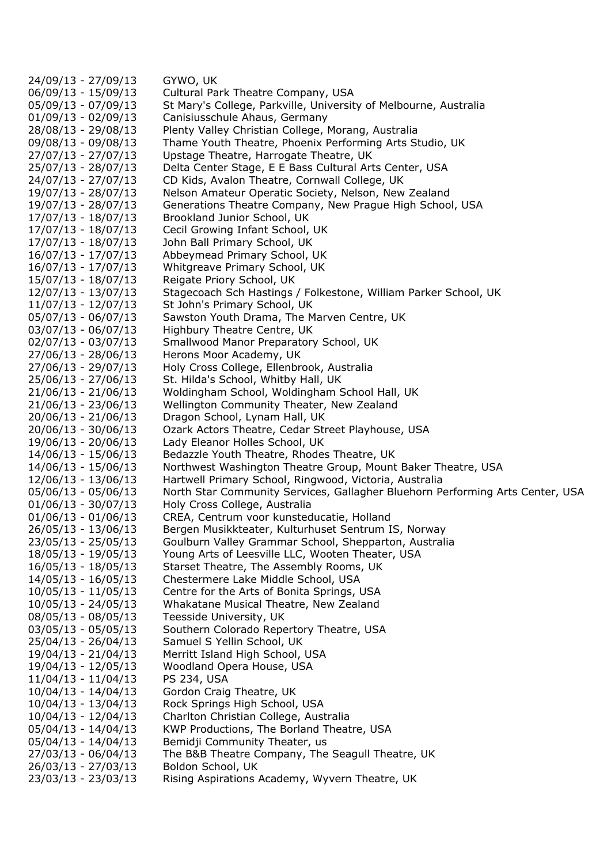24/09/13 - 27/09/13 GYWO, UK 06/09/13 - 15/09/13 Cultural Park Theatre Company, USA 05/09/13 - 07/09/13 St Mary's College, Parkville, University of Melbourne, Australia 01/09/13 - 02/09/13 Canisiusschule Ahaus, Germany 28/08/13 - 29/08/13 Plenty Valley Christian College, Morang, Australia 09/08/13 - 09/08/13 Thame Youth Theatre, Phoenix Performing Arts Studio, UK 27/07/13 - 27/07/13 Upstage Theatre, Harrogate Theatre, UK 25/07/13 - 28/07/13 Delta Center Stage, E E Bass Cultural Arts Center, USA 24/07/13 - 27/07/13 CD Kids, Avalon Theatre, Cornwall College, UK 19/07/13 - 28/07/13 Nelson Amateur Operatic Society, Nelson, New Zealand 19/07/13 - 28/07/13 Generations Theatre Company, New Prague High School, USA 17/07/13 - 18/07/13 Brookland Junior School, UK 17/07/13 - 18/07/13 Cecil Growing Infant School, UK 17/07/13 - 18/07/13 John Ball Primary School, UK 16/07/13 - 17/07/13 Abbeymead Primary School, UK 16/07/13 - 17/07/13 Whitgreave Primary School, UK 15/07/13 - 18/07/13 Reigate Priory School, UK 12/07/13 - 13/07/13 Stagecoach Sch Hastings / Folkestone, William Parker School, UK 11/07/13 - 12/07/13 St John's Primary School, UK 05/07/13 - 06/07/13 Sawston Youth Drama, The Marven Centre, UK 03/07/13 - 06/07/13 Highbury Theatre Centre, UK 02/07/13 - 03/07/13 Smallwood Manor Preparatory School, UK 27/06/13 - 28/06/13 Herons Moor Academy, UK 27/06/13 - 29/07/13 Holy Cross College, Ellenbrook, Australia 25/06/13 - 27/06/13 St. Hilda's School, Whitby Hall, UK 21/06/13 - 21/06/13 Woldingham School, Woldingham School Hall, UK 21/06/13 - 23/06/13 Wellington Community Theater, New Zealand 20/06/13 - 21/06/13 Dragon School, Lynam Hall, UK 20/06/13 - 30/06/13 Ozark Actors Theatre, Cedar Street Playhouse, USA 19/06/13 - 20/06/13 Lady Eleanor Holles School, UK 14/06/13 - 15/06/13 Bedazzle Youth Theatre, Rhodes Theatre, UK 14/06/13 - 15/06/13 Northwest Washington Theatre Group, Mount Baker Theatre, USA 12/06/13 - 13/06/13 Hartwell Primary School, Ringwood, Victoria, Australia 05/06/13 - 05/06/13 North Star Community Services, Gallagher Bluehorn Performing Arts Center, USA 01/06/13 - 30/07/13 Holy Cross College, Australia 01/06/13 - 01/06/13 CREA, Centrum voor kunsteducatie, Holland 26/05/13 - 13/06/13 Bergen Musikkteater, Kulturhuset Sentrum IS, Norway 23/05/13 - 25/05/13 Goulburn Valley Grammar School, Shepparton, Australia 18/05/13 - 19/05/13 Young Arts of Leesville LLC, Wooten Theater, USA 16/05/13 - 18/05/13 Starset Theatre, The Assembly Rooms, UK 14/05/13 - 16/05/13 Chestermere Lake Middle School, USA 10/05/13 - 11/05/13 Centre for the Arts of Bonita Springs, USA 10/05/13 - 24/05/13 Whakatane Musical Theatre, New Zealand 08/05/13 - 08/05/13 Teesside University, UK 03/05/13 - 05/05/13 Southern Colorado Repertory Theatre, USA 25/04/13 - 26/04/13 Samuel S Yellin School, UK 19/04/13 - 21/04/13 Merritt Island High School, USA 19/04/13 - 12/05/13 Woodland Opera House, USA 11/04/13 - 11/04/13 PS 234, USA 10/04/13 - 14/04/13 Gordon Craig Theatre, UK 10/04/13 - 13/04/13 Rock Springs High School, USA 10/04/13 - 12/04/13 Charlton Christian College, Australia 05/04/13 - 14/04/13 KWP Productions, The Borland Theatre, USA 05/04/13 - 14/04/13 Bemidji Community Theater, us 27/03/13 - 06/04/13 The B&B Theatre Company, The Seagull Theatre, UK 26/03/13 - 27/03/13 Boldon School, UK 23/03/13 - 23/03/13 Rising Aspirations Academy, Wyvern Theatre, UK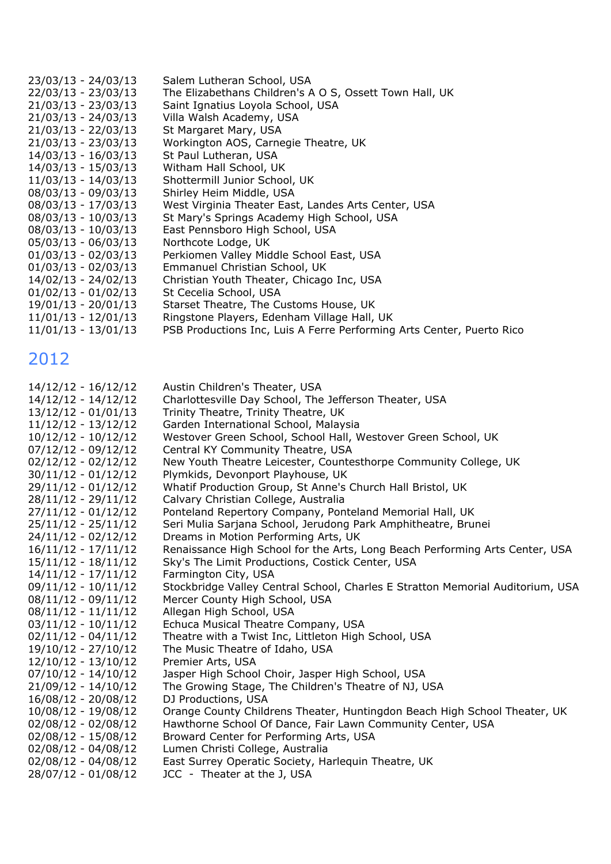| 23/03/13 - 24/03/13   | Salem Lutheran School, USA                                            |
|-----------------------|-----------------------------------------------------------------------|
| 22/03/13 - 23/03/13   | The Elizabethans Children's A O S, Ossett Town Hall, UK               |
| $21/03/13 - 23/03/13$ | Saint Ignatius Loyola School, USA                                     |
| $21/03/13 - 24/03/13$ | Villa Walsh Academy, USA                                              |
| 21/03/13 - 22/03/13   | St Margaret Mary, USA                                                 |
| $21/03/13 - 23/03/13$ | Workington AOS, Carnegie Theatre, UK                                  |
| 14/03/13 - 16/03/13   | St Paul Lutheran, USA                                                 |
| 14/03/13 - 15/03/13   | Witham Hall School, UK                                                |
| $11/03/13 - 14/03/13$ | Shottermill Junior School, UK                                         |
| $08/03/13 - 09/03/13$ | Shirley Heim Middle, USA                                              |
| $08/03/13 - 17/03/13$ | West Virginia Theater East, Landes Arts Center, USA                   |
| $08/03/13 - 10/03/13$ | St Mary's Springs Academy High School, USA                            |
| $08/03/13 - 10/03/13$ | East Pennsboro High School, USA                                       |
| $05/03/13 - 06/03/13$ | Northcote Lodge, UK                                                   |
| $01/03/13 - 02/03/13$ | Perkiomen Valley Middle School East, USA                              |
| $01/03/13 - 02/03/13$ | Emmanuel Christian School, UK                                         |
| 14/02/13 - 24/02/13   | Christian Youth Theater, Chicago Inc, USA                             |
| $01/02/13 - 01/02/13$ | St Cecelia School, USA                                                |
| $19/01/13 - 20/01/13$ | Starset Theatre, The Customs House, UK                                |
| $11/01/13 - 12/01/13$ | Ringstone Players, Edenham Village Hall, UK                           |
| $11/01/13 - 13/01/13$ | PSB Productions Inc, Luis A Ferre Performing Arts Center, Puerto Rico |

| 14/12/12 - 16/12/12   | Austin Children's Theater, USA                                                 |
|-----------------------|--------------------------------------------------------------------------------|
| 14/12/12 - 14/12/12   | Charlottesville Day School, The Jefferson Theater, USA                         |
| $13/12/12 - 01/01/13$ | Trinity Theatre, Trinity Theatre, UK                                           |
| $11/12/12 - 13/12/12$ | Garden International School, Malaysia                                          |
| $10/12/12 - 10/12/12$ | Westover Green School, School Hall, Westover Green School, UK                  |
| $07/12/12 - 09/12/12$ | Central KY Community Theatre, USA                                              |
| $02/12/12 - 02/12/12$ | New Youth Theatre Leicester, Countesthorpe Community College, UK               |
| $30/11/12 - 01/12/12$ | Plymkids, Devonport Playhouse, UK                                              |
| 29/11/12 - 01/12/12   | Whatif Production Group, St Anne's Church Hall Bristol, UK                     |
| $28/11/12 - 29/11/12$ | Calvary Christian College, Australia                                           |
| $27/11/12 - 01/12/12$ | Ponteland Repertory Company, Ponteland Memorial Hall, UK                       |
| $25/11/12 - 25/11/12$ | Seri Mulia Sarjana School, Jerudong Park Amphitheatre, Brunei                  |
| 24/11/12 - 02/12/12   | Dreams in Motion Performing Arts, UK                                           |
| $16/11/12 - 17/11/12$ | Renaissance High School for the Arts, Long Beach Performing Arts Center, USA   |
| $15/11/12 - 18/11/12$ | Sky's The Limit Productions, Costick Center, USA                               |
| 14/11/12 - 17/11/12   | Farmington City, USA                                                           |
| $09/11/12 - 10/11/12$ | Stockbridge Valley Central School, Charles E Stratton Memorial Auditorium, USA |
| $08/11/12 - 09/11/12$ | Mercer County High School, USA                                                 |
| $08/11/12 - 11/11/12$ | Allegan High School, USA                                                       |
| $03/11/12 - 10/11/12$ | Echuca Musical Theatre Company, USA                                            |
| $02/11/12 - 04/11/12$ | Theatre with a Twist Inc, Littleton High School, USA                           |
| 19/10/12 - 27/10/12   | The Music Theatre of Idaho, USA                                                |
| $12/10/12 - 13/10/12$ | Premier Arts, USA                                                              |
| $07/10/12 - 14/10/12$ | Jasper High School Choir, Jasper High School, USA                              |
| $21/09/12 - 14/10/12$ | The Growing Stage, The Children's Theatre of NJ, USA                           |
| 16/08/12 - 20/08/12   | DJ Productions, USA                                                            |
| 10/08/12 - 19/08/12   | Orange County Childrens Theater, Huntingdon Beach High School Theater, UK      |
| $02/08/12 - 02/08/12$ | Hawthorne School Of Dance, Fair Lawn Community Center, USA                     |
| $02/08/12 - 15/08/12$ | Broward Center for Performing Arts, USA                                        |
| $02/08/12 - 04/08/12$ | Lumen Christi College, Australia                                               |
| $02/08/12 - 04/08/12$ | East Surrey Operatic Society, Harlequin Theatre, UK                            |
| 28/07/12 - 01/08/12   | JCC - Theater at the J, USA                                                    |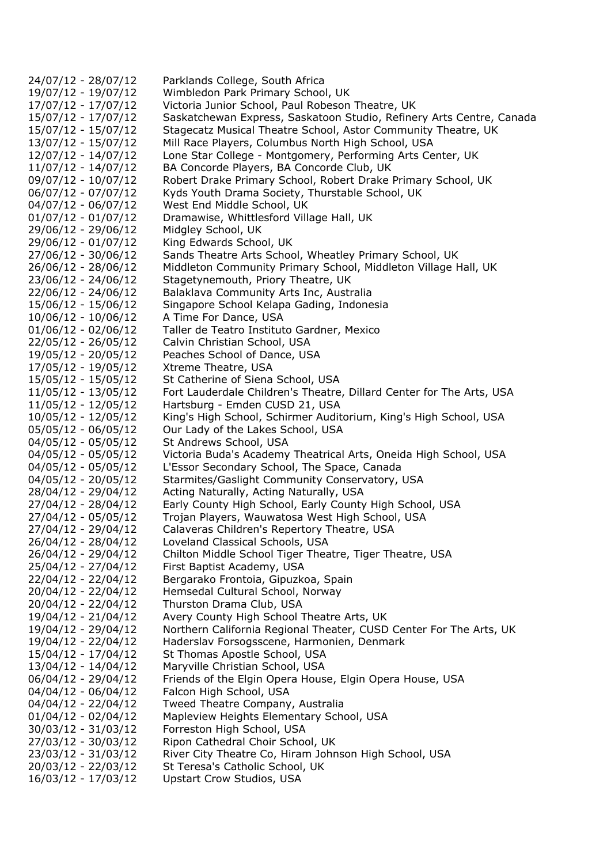24/07/12 - 28/07/12 Parklands College, South Africa 19/07/12 - 19/07/12 Wimbledon Park Primary School, UK 17/07/12 - 17/07/12 Victoria Junior School, Paul Robeson Theatre, UK 15/07/12 - 17/07/12 Saskatchewan Express, Saskatoon Studio, Refinery Arts Centre, Canada 15/07/12 - 15/07/12 Stagecatz Musical Theatre School, Astor Community Theatre, UK 13/07/12 - 15/07/12 Mill Race Players, Columbus North High School, USA 12/07/12 - 14/07/12 Lone Star College - Montgomery, Performing Arts Center, UK 11/07/12 - 14/07/12 BA Concorde Players, BA Concorde Club, UK 09/07/12 - 10/07/12 Robert Drake Primary School, Robert Drake Primary School, UK 06/07/12 - 07/07/12 Kyds Youth Drama Society, Thurstable School, UK 04/07/12 - 06/07/12 West End Middle School, UK 01/07/12 - 01/07/12 Dramawise, Whittlesford Village Hall, UK 29/06/12 - 29/06/12 Midgley School, UK 29/06/12 - 01/07/12 King Edwards School, UK 27/06/12 - 30/06/12 Sands Theatre Arts School, Wheatley Primary School, UK 26/06/12 - 28/06/12 Middleton Community Primary School, Middleton Village Hall, UK 23/06/12 - 24/06/12 Stagetynemouth, Priory Theatre, UK 22/06/12 - 24/06/12 Balaklava Community Arts Inc, Australia 15/06/12 - 15/06/12 Singapore School Kelapa Gading, Indonesia 10/06/12 - 10/06/12 A Time For Dance, USA 01/06/12 - 02/06/12 Taller de Teatro Instituto Gardner, Mexico 22/05/12 - 26/05/12 Calvin Christian School, USA 19/05/12 - 20/05/12 Peaches School of Dance, USA 17/05/12 - 19/05/12 Xtreme Theatre, USA 15/05/12 - 15/05/12 St Catherine of Siena School, USA 11/05/12 - 13/05/12 Fort Lauderdale Children's Theatre, Dillard Center for The Arts, USA 11/05/12 - 12/05/12 Hartsburg - Emden CUSD 21, USA 10/05/12 - 12/05/12 King's High School, Schirmer Auditorium, King's High School, USA 05/05/12 - 06/05/12 Our Lady of the Lakes School, USA 04/05/12 - 05/05/12 St Andrews School, USA 04/05/12 - 05/05/12 Victoria Buda's Academy Theatrical Arts, Oneida High School, USA 04/05/12 - 05/05/12 L'Essor Secondary School, The Space, Canada 04/05/12 - 20/05/12 Starmites/Gaslight Community Conservatory, USA 28/04/12 - 29/04/12 Acting Naturally, Acting Naturally, USA 27/04/12 - 28/04/12 Early County High School, Early County High School, USA 27/04/12 - 05/05/12 Trojan Players, Wauwatosa West High School, USA 27/04/12 - 29/04/12 Calaveras Children's Repertory Theatre, USA 26/04/12 - 28/04/12 Loveland Classical Schools, USA 26/04/12 - 29/04/12 Chilton Middle School Tiger Theatre, Tiger Theatre, USA 25/04/12 - 27/04/12 First Baptist Academy, USA 22/04/12 - 22/04/12 Bergarako Frontoia, Gipuzkoa, Spain 20/04/12 - 22/04/12 Hemsedal Cultural School, Norway 20/04/12 - 22/04/12 Thurston Drama Club, USA 19/04/12 - 21/04/12 Avery County High School Theatre Arts, UK 19/04/12 - 29/04/12 Northern California Regional Theater, CUSD Center For The Arts, UK 19/04/12 - 22/04/12 Haderslav Forsogsscene, Harmonien, Denmark 15/04/12 - 17/04/12 St Thomas Apostle School, USA 13/04/12 - 14/04/12 Maryville Christian School, USA 06/04/12 - 29/04/12 Friends of the Elgin Opera House, Elgin Opera House, USA 04/04/12 - 06/04/12 Falcon High School, USA 04/04/12 - 22/04/12 Tweed Theatre Company, Australia 01/04/12 - 02/04/12 Mapleview Heights Elementary School, USA 30/03/12 - 31/03/12 Forreston High School, USA 27/03/12 - 30/03/12 Ripon Cathedral Choir School, UK 23/03/12 - 31/03/12 River City Theatre Co, Hiram Johnson High School, USA 20/03/12 - 22/03/12 St Teresa's Catholic School, UK 16/03/12 - 17/03/12 Upstart Crow Studios, USA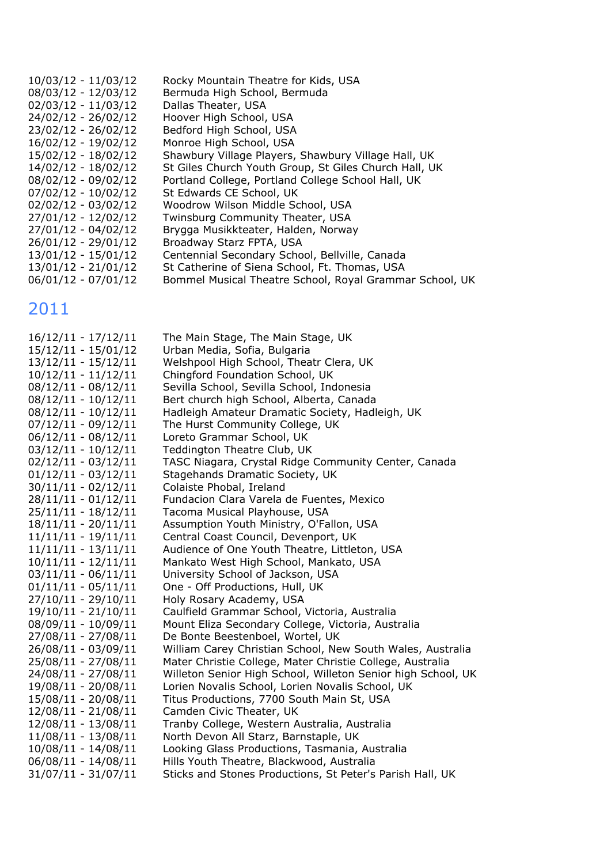| $10/03/12 - 11/03/12$ | Rocky Mountain Theatre for Kids, USA                    |
|-----------------------|---------------------------------------------------------|
| 08/03/12 - 12/03/12   | Bermuda High School, Bermuda                            |
| $02/03/12 - 11/03/12$ | Dallas Theater, USA                                     |
| 24/02/12 - 26/02/12   | Hoover High School, USA                                 |
| 23/02/12 - 26/02/12   | Bedford High School, USA                                |
| $16/02/12 - 19/02/12$ | Monroe High School, USA                                 |
| 15/02/12 - 18/02/12   | Shawbury Village Players, Shawbury Village Hall, UK     |
| 14/02/12 - 18/02/12   | St Giles Church Youth Group, St Giles Church Hall, UK   |
| $08/02/12 - 09/02/12$ | Portland College, Portland College School Hall, UK      |
| $07/02/12 - 10/02/12$ | St Edwards CE School, UK                                |
| $02/02/12 - 03/02/12$ | Woodrow Wilson Middle School, USA                       |
| 27/01/12 - 12/02/12   | Twinsburg Community Theater, USA                        |
| 27/01/12 - 04/02/12   | Brygga Musikkteater, Halden, Norway                     |
| $26/01/12 - 29/01/12$ | Broadway Starz FPTA, USA                                |
| $13/01/12 - 15/01/12$ | Centennial Secondary School, Bellville, Canada          |
| $13/01/12 - 21/01/12$ | St Catherine of Siena School, Ft. Thomas, USA           |
| $06/01/12 - 07/01/12$ | Bommel Musical Theatre School, Royal Grammar School, UK |

| $16/12/11 - 17/12/11$ | The Main Stage, The Main Stage, UK                           |
|-----------------------|--------------------------------------------------------------|
| 15/12/11 - 15/01/12   | Urban Media, Sofia, Bulgaria                                 |
| 13/12/11 - 15/12/11   | Welshpool High School, Theatr Clera, UK                      |
| $10/12/11 - 11/12/11$ | Chingford Foundation School, UK                              |
| $08/12/11 - 08/12/11$ | Sevilla School, Sevilla School, Indonesia                    |
| $08/12/11 - 10/12/11$ | Bert church high School, Alberta, Canada                     |
| $08/12/11 - 10/12/11$ | Hadleigh Amateur Dramatic Society, Hadleigh, UK              |
| $07/12/11 - 09/12/11$ | The Hurst Community College, UK                              |
| $06/12/11 - 08/12/11$ | Loreto Grammar School, UK                                    |
| $03/12/11 - 10/12/11$ | Teddington Theatre Club, UK                                  |
| $02/12/11 - 03/12/11$ | TASC Niagara, Crystal Ridge Community Center, Canada         |
| $01/12/11 - 03/12/11$ | Stagehands Dramatic Society, UK                              |
| $30/11/11 - 02/12/11$ | Colaiste Phobal, Ireland                                     |
| $28/11/11 - 01/12/11$ | Fundacion Clara Varela de Fuentes, Mexico                    |
| $25/11/11 - 18/12/11$ | Tacoma Musical Playhouse, USA                                |
| $18/11/11 - 20/11/11$ | Assumption Youth Ministry, O'Fallon, USA                     |
| $11/11/11 - 19/11/11$ | Central Coast Council, Devenport, UK                         |
| $11/11/11 - 13/11/11$ | Audience of One Youth Theatre, Littleton, USA                |
| $10/11/11 - 12/11/11$ | Mankato West High School, Mankato, USA                       |
| $03/11/11 - 06/11/11$ | University School of Jackson, USA                            |
| $01/11/11 - 05/11/11$ | One - Off Productions, Hull, UK                              |
| 27/10/11 - 29/10/11   | Holy Rosary Academy, USA                                     |
| 19/10/11 - 21/10/11   | Caulfield Grammar School, Victoria, Australia                |
| 08/09/11 - 10/09/11   | Mount Eliza Secondary College, Victoria, Australia           |
| 27/08/11 - 27/08/11   | De Bonte Beestenboel, Wortel, UK                             |
| 26/08/11 - 03/09/11   | William Carey Christian School, New South Wales, Australia   |
| 25/08/11 - 27/08/11   | Mater Christie College, Mater Christie College, Australia    |
| 24/08/11 - 27/08/11   | Willeton Senior High School, Willeton Senior high School, UK |
| 19/08/11 - 20/08/11   | Lorien Novalis School, Lorien Novalis School, UK             |
| 15/08/11 - 20/08/11   | Titus Productions, 7700 South Main St, USA                   |
| 12/08/11 - 21/08/11   | Camden Civic Theater, UK                                     |
| 12/08/11 - 13/08/11   | Tranby College, Western Australia, Australia                 |
| 11/08/11 - 13/08/11   | North Devon All Starz, Barnstaple, UK                        |
| 10/08/11 - 14/08/11   | Looking Glass Productions, Tasmania, Australia               |
| $06/08/11 - 14/08/11$ | Hills Youth Theatre, Blackwood, Australia                    |
| 31/07/11 - 31/07/11   | Sticks and Stones Productions, St Peter's Parish Hall, UK    |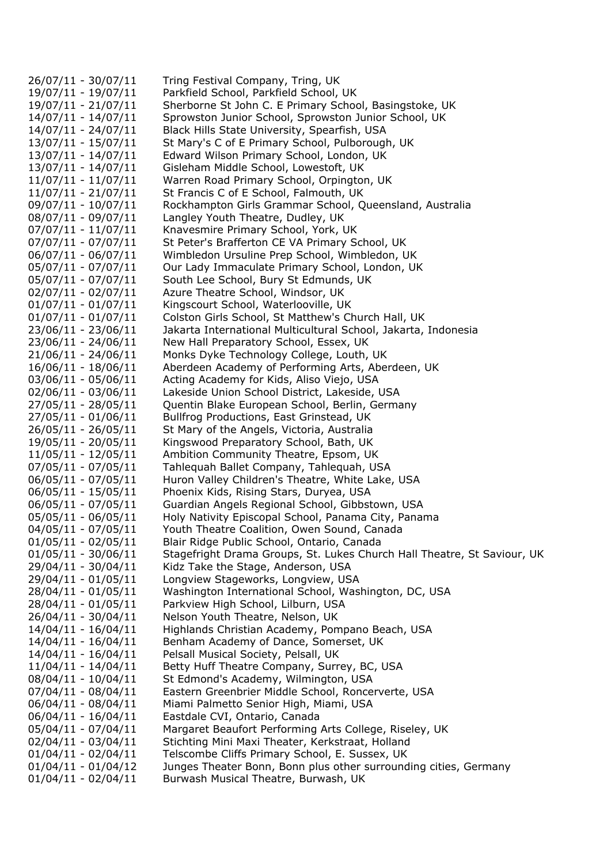26/07/11 - 30/07/11 Tring Festival Company, Tring, UK 19/07/11 - 19/07/11 Parkfield School, Parkfield School, UK 19/07/11 - 21/07/11 Sherborne St John C. E Primary School, Basingstoke, UK 14/07/11 - 14/07/11 Sprowston Junior School, Sprowston Junior School, UK 14/07/11 - 24/07/11 Black Hills State University, Spearfish, USA 13/07/11 - 15/07/11 St Mary's C of E Primary School, Pulborough, UK 13/07/11 - 14/07/11 Edward Wilson Primary School, London, UK 13/07/11 - 14/07/11 Gisleham Middle School, Lowestoft, UK 11/07/11 - 11/07/11 Warren Road Primary School, Orpington, UK 11/07/11 - 21/07/11 St Francis C of E School, Falmouth, UK 09/07/11 - 10/07/11 Rockhampton Girls Grammar School, Queensland, Australia 08/07/11 - 09/07/11 Langley Youth Theatre, Dudley, UK 07/07/11 - 11/07/11 Knavesmire Primary School, York, UK 07/07/11 - 07/07/11 St Peter's Brafferton CE VA Primary School, UK 06/07/11 - 06/07/11 Wimbledon Ursuline Prep School, Wimbledon, UK 05/07/11 - 07/07/11 Our Lady Immaculate Primary School, London, UK 05/07/11 - 07/07/11 South Lee School, Bury St Edmunds, UK 02/07/11 - 02/07/11 Azure Theatre School, Windsor, UK 01/07/11 - 01/07/11 Kingscourt School, Waterlooville, UK 01/07/11 - 01/07/11 Colston Girls School, St Matthew's Church Hall, UK 23/06/11 - 23/06/11 Jakarta International Multicultural School, Jakarta, Indonesia 23/06/11 - 24/06/11 New Hall Preparatory School, Essex, UK 21/06/11 - 24/06/11 Monks Dyke Technology College, Louth, UK 16/06/11 - 18/06/11 Aberdeen Academy of Performing Arts, Aberdeen, UK 03/06/11 - 05/06/11 Acting Academy for Kids, Aliso Viejo, USA 02/06/11 - 03/06/11 Lakeside Union School District, Lakeside, USA 27/05/11 - 28/05/11 Quentin Blake European School, Berlin, Germany 27/05/11 - 01/06/11 Bullfrog Productions, East Grinstead, UK 26/05/11 - 26/05/11 St Mary of the Angels, Victoria, Australia 19/05/11 - 20/05/11 Kingswood Preparatory School, Bath, UK 11/05/11 - 12/05/11 Ambition Community Theatre, Epsom, UK 07/05/11 - 07/05/11 Tahlequah Ballet Company, Tahlequah, USA 06/05/11 - 07/05/11 Huron Valley Children's Theatre, White Lake, USA 06/05/11 - 15/05/11 Phoenix Kids, Rising Stars, Duryea, USA 06/05/11 - 07/05/11 Guardian Angels Regional School, Gibbstown, USA 05/05/11 - 06/05/11 Holy Nativity Episcopal School, Panama City, Panama 04/05/11 - 07/05/11 Youth Theatre Coalition, Owen Sound, Canada 01/05/11 - 02/05/11 Blair Ridge Public School, Ontario, Canada 01/05/11 - 30/06/11 Stagefright Drama Groups, St. Lukes Church Hall Theatre, St Saviour, UK 29/04/11 - 30/04/11 Kidz Take the Stage, Anderson, USA 29/04/11 - 01/05/11 Longview Stageworks, Longview, USA 28/04/11 - 01/05/11 Washington International School, Washington, DC, USA 28/04/11 - 01/05/11 Parkview High School, Lilburn, USA 26/04/11 - 30/04/11 Nelson Youth Theatre, Nelson, UK 14/04/11 - 16/04/11 Highlands Christian Academy, Pompano Beach, USA 14/04/11 - 16/04/11 Benham Academy of Dance, Somerset, UK 14/04/11 - 16/04/11 Pelsall Musical Society, Pelsall, UK 11/04/11 - 14/04/11 Betty Huff Theatre Company, Surrey, BC, USA 08/04/11 - 10/04/11 St Edmond's Academy, Wilmington, USA 07/04/11 - 08/04/11 Eastern Greenbrier Middle School, Roncerverte, USA 06/04/11 - 08/04/11 Miami Palmetto Senior High, Miami, USA 06/04/11 - 16/04/11 Eastdale CVI, Ontario, Canada 05/04/11 - 07/04/11 Margaret Beaufort Performing Arts College, Riseley, UK 02/04/11 - 03/04/11 Stichting Mini Maxi Theater, Kerkstraat, Holland 01/04/11 - 02/04/11 Telscombe Cliffs Primary School, E. Sussex, UK 01/04/11 - 01/04/12 Junges Theater Bonn, Bonn plus other surrounding cities, Germany 01/04/11 - 02/04/11 Burwash Musical Theatre, Burwash, UK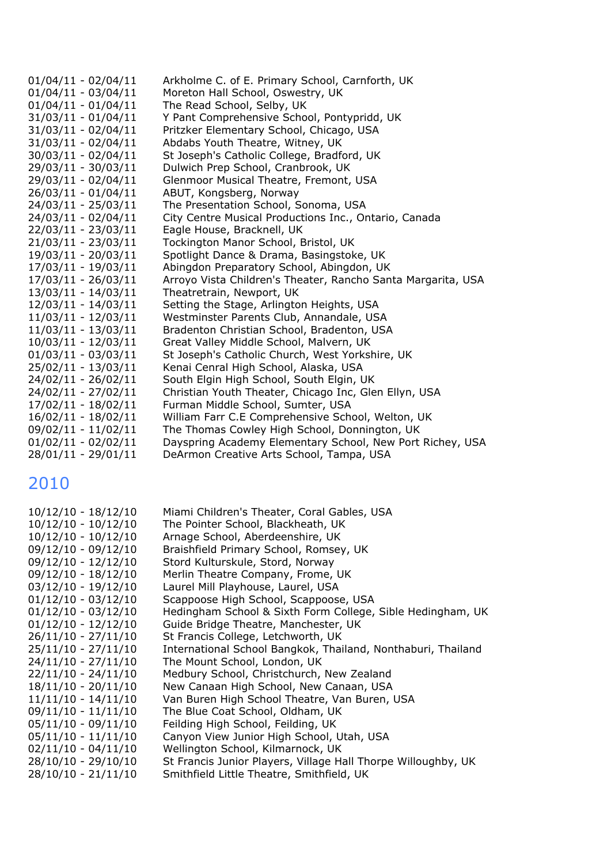| $01/04/11 - 02/04/11$ | Arkholme C. of E. Primary School, Carnforth, UK              |
|-----------------------|--------------------------------------------------------------|
| $01/04/11 - 03/04/11$ | Moreton Hall School, Oswestry, UK                            |
| $01/04/11 - 01/04/11$ | The Read School, Selby, UK                                   |
| 31/03/11 - 01/04/11   | Y Pant Comprehensive School, Pontypridd, UK                  |
| 31/03/11 - 02/04/11   | Pritzker Elementary School, Chicago, USA                     |
| $31/03/11 - 02/04/11$ | Abdabs Youth Theatre, Witney, UK                             |
| 30/03/11 - 02/04/11   | St Joseph's Catholic College, Bradford, UK                   |
| 29/03/11 - 30/03/11   | Dulwich Prep School, Cranbrook, UK                           |
| 29/03/11 - 02/04/11   | Glenmoor Musical Theatre, Fremont, USA                       |
| 26/03/11 - 01/04/11   | ABUT, Kongsberg, Norway                                      |
| 24/03/11 - 25/03/11   | The Presentation School, Sonoma, USA                         |
| 24/03/11 - 02/04/11   | City Centre Musical Productions Inc., Ontario, Canada        |
| 22/03/11 - 23/03/11   | Eagle House, Bracknell, UK                                   |
| 21/03/11 - 23/03/11   | Tockington Manor School, Bristol, UK                         |
| 19/03/11 - 20/03/11   | Spotlight Dance & Drama, Basingstoke, UK                     |
| 17/03/11 - 19/03/11   | Abingdon Preparatory School, Abingdon, UK                    |
| 17/03/11 - 26/03/11   | Arroyo Vista Children's Theater, Rancho Santa Margarita, USA |
| 13/03/11 - 14/03/11   | Theatretrain, Newport, UK                                    |
| 12/03/11 - 14/03/11   | Setting the Stage, Arlington Heights, USA                    |
| 11/03/11 - 12/03/11   | Westminster Parents Club, Annandale, USA                     |
| 11/03/11 - 13/03/11   | Bradenton Christian School, Bradenton, USA                   |
| 10/03/11 - 12/03/11   | Great Valley Middle School, Malvern, UK                      |
| $01/03/11 - 03/03/11$ | St Joseph's Catholic Church, West Yorkshire, UK              |
| 25/02/11 - 13/03/11   | Kenai Cenral High School, Alaska, USA                        |
| 24/02/11 - 26/02/11   | South Elgin High School, South Elgin, UK                     |
| 24/02/11 - 27/02/11   | Christian Youth Theater, Chicago Inc, Glen Ellyn, USA        |
| 17/02/11 - 18/02/11   | Furman Middle School, Sumter, USA                            |
| 16/02/11 - 18/02/11   | William Farr C.E Comprehensive School, Welton, UK            |
| 09/02/11 - 11/02/11   | The Thomas Cowley High School, Donnington, UK                |
| $01/02/11 - 02/02/11$ | Dayspring Academy Elementary School, New Port Richey, USA    |
| 28/01/11 - 29/01/11   | DeArmon Creative Arts School, Tampa, USA                     |

| $10/12/10 - 18/12/10$ | Miami Children's Theater, Coral Gables, USA                   |
|-----------------------|---------------------------------------------------------------|
| $10/12/10 - 10/12/10$ | The Pointer School, Blackheath, UK                            |
| $10/12/10 - 10/12/10$ | Arnage School, Aberdeenshire, UK                              |
| $09/12/10 - 09/12/10$ | Braishfield Primary School, Romsey, UK                        |
| $09/12/10 - 12/12/10$ | Stord Kulturskule, Stord, Norway                              |
| $09/12/10 - 18/12/10$ | Merlin Theatre Company, Frome, UK                             |
| $03/12/10 - 19/12/10$ | Laurel Mill Playhouse, Laurel, USA                            |
| $01/12/10 - 03/12/10$ | Scappoose High School, Scappoose, USA                         |
| $01/12/10 - 03/12/10$ | Hedingham School & Sixth Form College, Sible Hedingham, UK    |
| $01/12/10 - 12/12/10$ | Guide Bridge Theatre, Manchester, UK                          |
| $26/11/10 - 27/11/10$ | St Francis College, Letchworth, UK                            |
| $25/11/10 - 27/11/10$ | International School Bangkok, Thailand, Nonthaburi, Thailand  |
| $24/11/10 - 27/11/10$ | The Mount School, London, UK                                  |
| $22/11/10 - 24/11/10$ | Medbury School, Christchurch, New Zealand                     |
| $18/11/10 - 20/11/10$ | New Canaan High School, New Canaan, USA                       |
| $11/11/10 - 14/11/10$ | Van Buren High School Theatre, Van Buren, USA                 |
| $09/11/10 - 11/11/10$ | The Blue Coat School, Oldham, UK                              |
| $05/11/10 - 09/11/10$ | Feilding High School, Feilding, UK                            |
| $05/11/10 - 11/11/10$ | Canyon View Junior High School, Utah, USA                     |
| $02/11/10 - 04/11/10$ | Wellington School, Kilmarnock, UK                             |
| 28/10/10 - 29/10/10   | St Francis Junior Players, Village Hall Thorpe Willoughby, UK |
| $28/10/10 - 21/11/10$ | Smithfield Little Theatre, Smithfield, UK                     |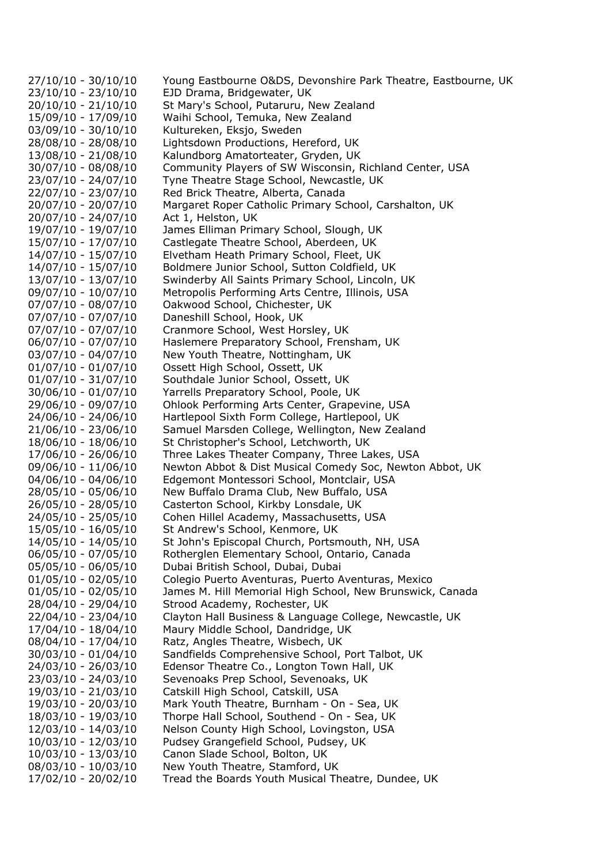27/10/10 - 30/10/10 Young Eastbourne O&DS, Devonshire Park Theatre, Eastbourne, UK 23/10/10 - 23/10/10 EJD Drama, Bridgewater, UK 20/10/10 - 21/10/10 St Mary's School, Putaruru, New Zealand 15/09/10 - 17/09/10 Waihi School, Temuka, New Zealand 03/09/10 - 30/10/10 Kultureken, Eksjo, Sweden 28/08/10 - 28/08/10 Lightsdown Productions, Hereford, UK 13/08/10 - 21/08/10 Kalundborg Amatorteater, Gryden, UK 30/07/10 - 08/08/10 Community Players of SW Wisconsin, Richland Center, USA 23/07/10 - 24/07/10 Tyne Theatre Stage School, Newcastle, UK 22/07/10 - 23/07/10 Red Brick Theatre, Alberta, Canada 20/07/10 - 20/07/10 Margaret Roper Catholic Primary School, Carshalton, UK 20/07/10 - 24/07/10 Act 1, Helston, UK 19/07/10 - 19/07/10 James Elliman Primary School, Slough, UK 15/07/10 - 17/07/10 Castlegate Theatre School, Aberdeen, UK 14/07/10 - 15/07/10 Elvetham Heath Primary School, Fleet, UK 14/07/10 - 15/07/10 Boldmere Junior School, Sutton Coldfield, UK 13/07/10 - 13/07/10 Swinderby All Saints Primary School, Lincoln, UK 09/07/10 - 10/07/10 Metropolis Performing Arts Centre, Illinois, USA 07/07/10 - 08/07/10 Oakwood School, Chichester, UK 07/07/10 - 07/07/10 Daneshill School, Hook, UK 07/07/10 - 07/07/10 Cranmore School, West Horsley, UK 06/07/10 - 07/07/10 Haslemere Preparatory School, Frensham, UK 03/07/10 - 04/07/10 New Youth Theatre, Nottingham, UK 01/07/10 - 01/07/10 Ossett High School, Ossett, UK 01/07/10 - 31/07/10 Southdale Junior School, Ossett, UK 30/06/10 - 01/07/10 Yarrells Preparatory School, Poole, UK 29/06/10 - 09/07/10 Ohlook Performing Arts Center, Grapevine, USA 24/06/10 - 24/06/10 Hartlepool Sixth Form College, Hartlepool, UK 21/06/10 - 23/06/10 Samuel Marsden College, Wellington, New Zealand 18/06/10 - 18/06/10 St Christopher's School, Letchworth, UK 17/06/10 - 26/06/10 Three Lakes Theater Company, Three Lakes, USA 09/06/10 - 11/06/10 Newton Abbot & Dist Musical Comedy Soc, Newton Abbot, UK 04/06/10 - 04/06/10 Edgemont Montessori School, Montclair, USA 28/05/10 - 05/06/10 New Buffalo Drama Club, New Buffalo, USA 26/05/10 - 28/05/10 Casterton School, Kirkby Lonsdale, UK 24/05/10 - 25/05/10 Cohen Hillel Academy, Massachusetts, USA 15/05/10 - 16/05/10 St Andrew's School, Kenmore, UK 14/05/10 - 14/05/10 St John's Episcopal Church, Portsmouth, NH, USA 06/05/10 - 07/05/10 Rotherglen Elementary School, Ontario, Canada 05/05/10 - 06/05/10 Dubai British School, Dubai, Dubai 01/05/10 - 02/05/10 Colegio Puerto Aventuras, Puerto Aventuras, Mexico 01/05/10 - 02/05/10 James M. Hill Memorial High School, New Brunswick, Canada 28/04/10 - 29/04/10 Strood Academy, Rochester, UK 22/04/10 - 23/04/10 Clayton Hall Business & Language College, Newcastle, UK 17/04/10 - 18/04/10 Maury Middle School, Dandridge, UK 08/04/10 - 17/04/10 Ratz, Angles Theatre, Wisbech, UK 30/03/10 - 01/04/10 Sandfields Comprehensive School, Port Talbot, UK 24/03/10 - 26/03/10 Edensor Theatre Co., Longton Town Hall, UK 23/03/10 - 24/03/10 Sevenoaks Prep School, Sevenoaks, UK 19/03/10 - 21/03/10 Catskill High School, Catskill, USA 19/03/10 - 20/03/10 Mark Youth Theatre, Burnham - On - Sea, UK 18/03/10 - 19/03/10 Thorpe Hall School, Southend - On - Sea, UK 12/03/10 - 14/03/10 Nelson County High School, Lovingston, USA 10/03/10 - 12/03/10 Pudsey Grangefield School, Pudsey, UK 10/03/10 - 13/03/10 Canon Slade School, Bolton, UK 08/03/10 - 10/03/10 New Youth Theatre, Stamford, UK 17/02/10 - 20/02/10 Tread the Boards Youth Musical Theatre, Dundee, UK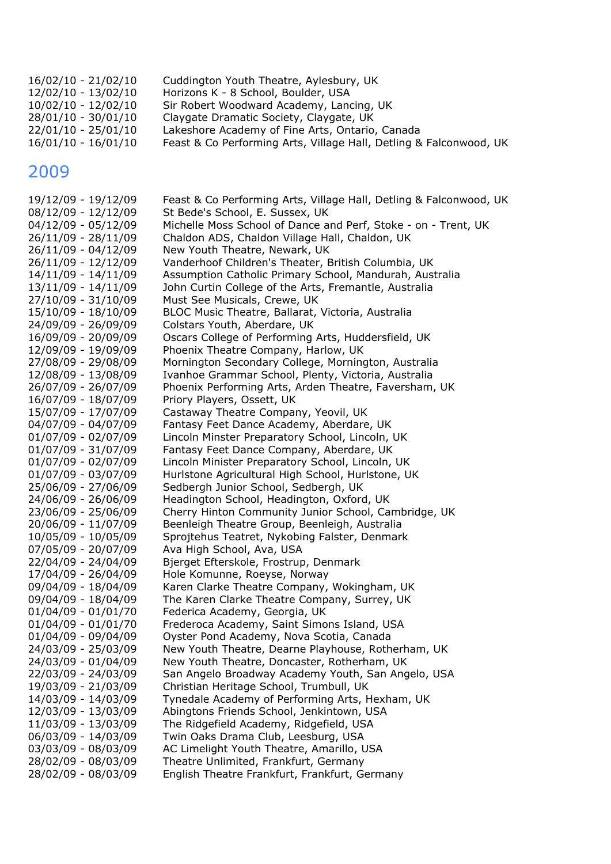| 16/02/10 - 21/02/10   | Cuddington Youth Theatre, Aylesbury, UK                            |
|-----------------------|--------------------------------------------------------------------|
| 12/02/10 - 13/02/10   | Horizons K - 8 School, Boulder, USA                                |
| 10/02/10 - 12/02/10   | Sir Robert Woodward Academy, Lancing, UK                           |
| 28/01/10 - 30/01/10   | Claygate Dramatic Society, Claygate, UK                            |
| 22/01/10 - 25/01/10   | Lakeshore Academy of Fine Arts, Ontario, Canada                    |
| $16/01/10 - 16/01/10$ | Feast & Co Performing Arts, Village Hall, Detling & Falconwood, UK |

19/12/09 - 19/12/09 Feast & Co Performing Arts, Village Hall, Detling & Falconwood, UK 08/12/09 - 12/12/09 St Bede's School, E. Sussex, UK 04/12/09 - 05/12/09 Michelle Moss School of Dance and Perf, Stoke - on - Trent, UK 26/11/09 - 28/11/09 Chaldon ADS, Chaldon Village Hall, Chaldon, UK 26/11/09 - 04/12/09 New Youth Theatre, Newark, UK 26/11/09 - 12/12/09 Vanderhoof Children's Theater, British Columbia, UK 14/11/09 - 14/11/09 Assumption Catholic Primary School, Mandurah, Australia 13/11/09 - 14/11/09 John Curtin College of the Arts, Fremantle, Australia 27/10/09 - 31/10/09 Must See Musicals, Crewe, UK 15/10/09 - 18/10/09 BLOC Music Theatre, Ballarat, Victoria, Australia 24/09/09 - 26/09/09 Colstars Youth, Aberdare, UK 16/09/09 - 20/09/09 Oscars College of Performing Arts, Huddersfield, UK 12/09/09 - 19/09/09 Phoenix Theatre Company, Harlow, UK 27/08/09 - 29/08/09 Mornington Secondary College, Mornington, Australia 12/08/09 - 13/08/09 Ivanhoe Grammar School, Plenty, Victoria, Australia 26/07/09 - 26/07/09 Phoenix Performing Arts, Arden Theatre, Faversham, UK 16/07/09 - 18/07/09 Priory Players, Ossett, UK 15/07/09 - 17/07/09 Castaway Theatre Company, Yeovil, UK 04/07/09 - 04/07/09 Fantasy Feet Dance Academy, Aberdare, UK 01/07/09 - 02/07/09 Lincoln Minster Preparatory School, Lincoln, UK 01/07/09 - 31/07/09 Fantasy Feet Dance Company, Aberdare, UK 01/07/09 - 02/07/09 Lincoln Minister Preparatory School, Lincoln, UK 01/07/09 - 03/07/09 Hurlstone Agricultural High School, Hurlstone, UK 25/06/09 - 27/06/09 Sedbergh Junior School, Sedbergh, UK 24/06/09 - 26/06/09 Headington School, Headington, Oxford, UK 23/06/09 - 25/06/09 Cherry Hinton Community Junior School, Cambridge, UK 20/06/09 - 11/07/09 Beenleigh Theatre Group, Beenleigh, Australia 10/05/09 - 10/05/09 Sprojtehus Teatret, Nykobing Falster, Denmark 07/05/09 - 20/07/09 Ava High School, Ava, USA 22/04/09 - 24/04/09 Bjerget Efterskole, Frostrup, Denmark 17/04/09 - 26/04/09 Hole Komunne, Roeyse, Norway 09/04/09 - 18/04/09 Karen Clarke Theatre Company, Wokingham, UK 09/04/09 - 18/04/09 The Karen Clarke Theatre Company, Surrey, UK 01/04/09 - 01/01/70 Federica Academy, Georgia, UK 01/04/09 - 01/01/70 Frederoca Academy, Saint Simons Island, USA 01/04/09 - 09/04/09 Oyster Pond Academy, Nova Scotia, Canada 24/03/09 - 25/03/09 New Youth Theatre, Dearne Playhouse, Rotherham, UK 24/03/09 - 01/04/09 New Youth Theatre, Doncaster, Rotherham, UK 22/03/09 - 24/03/09 San Angelo Broadway Academy Youth, San Angelo, USA 19/03/09 - 21/03/09 Christian Heritage School, Trumbull, UK 14/03/09 - 14/03/09 Tynedale Academy of Performing Arts, Hexham, UK 12/03/09 - 13/03/09 Abingtons Friends School, Jenkintown, USA 11/03/09 - 13/03/09 The Ridgefield Academy, Ridgefield, USA 06/03/09 - 14/03/09 Twin Oaks Drama Club, Leesburg, USA 03/03/09 - 08/03/09 AC Limelight Youth Theatre, Amarillo, USA 28/02/09 - 08/03/09 Theatre Unlimited, Frankfurt, Germany 28/02/09 - 08/03/09 English Theatre Frankfurt, Frankfurt, Germany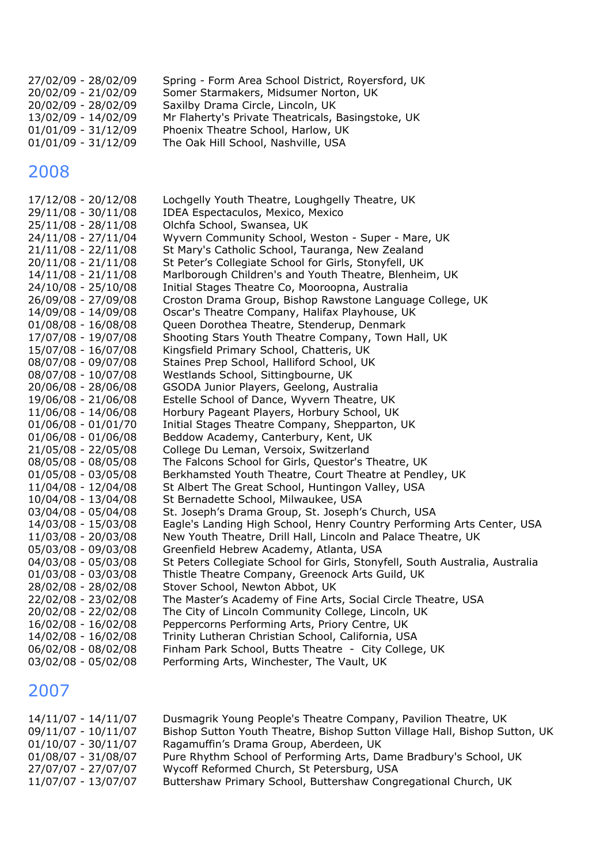| Spring - Form Area School District, Royersford, UK |
|----------------------------------------------------|
| Somer Starmakers, Midsumer Norton, UK              |
| Saxilby Drama Circle, Lincoln, UK                  |
| Mr Flaherty's Private Theatricals, Basingstoke, UK |
| Phoenix Theatre School, Harlow, UK                 |
| The Oak Hill School, Nashville, USA                |
|                                                    |

| 17/12/08 - 20/12/08   | Lochgelly Youth Theatre, Loughgelly Theatre, UK                              |
|-----------------------|------------------------------------------------------------------------------|
| 29/11/08 - 30/11/08   | IDEA Espectaculos, Mexico, Mexico                                            |
| 25/11/08 - 28/11/08   | Olchfa School, Swansea, UK                                                   |
| 24/11/08 - 27/11/04   | Wyvern Community School, Weston - Super - Mare, UK                           |
| $21/11/08 - 22/11/08$ | St Mary's Catholic School, Tauranga, New Zealand                             |
| $20/11/08 - 21/11/08$ | St Peter's Collegiate School for Girls, Stonyfell, UK                        |
| $14/11/08 - 21/11/08$ | Marlborough Children's and Youth Theatre, Blenheim, UK                       |
| 24/10/08 - 25/10/08   | Initial Stages Theatre Co, Mooroopna, Australia                              |
| 26/09/08 - 27/09/08   | Croston Drama Group, Bishop Rawstone Language College, UK                    |
| 14/09/08 - 14/09/08   | Oscar's Theatre Company, Halifax Playhouse, UK                               |
| $01/08/08 - 16/08/08$ | Queen Dorothea Theatre, Stenderup, Denmark                                   |
| 17/07/08 - 19/07/08   | Shooting Stars Youth Theatre Company, Town Hall, UK                          |
| 15/07/08 - 16/07/08   | Kingsfield Primary School, Chatteris, UK                                     |
| 08/07/08 - 09/07/08   | Staines Prep School, Halliford School, UK                                    |
| 08/07/08 - 10/07/08   | Westlands School, Sittingbourne, UK                                          |
| 20/06/08 - 28/06/08   | GSODA Junior Players, Geelong, Australia                                     |
| 19/06/08 - 21/06/08   | Estelle School of Dance, Wyvern Theatre, UK                                  |
| 11/06/08 - 14/06/08   | Horbury Pageant Players, Horbury School, UK                                  |
| $01/06/08 - 01/01/70$ | Initial Stages Theatre Company, Shepparton, UK                               |
| $01/06/08 - 01/06/08$ | Beddow Academy, Canterbury, Kent, UK                                         |
| 21/05/08 - 22/05/08   | College Du Leman, Versoix, Switzerland                                       |
| 08/05/08 - 08/05/08   | The Falcons School for Girls, Questor's Theatre, UK                          |
| 01/05/08 - 03/05/08   | Berkhamsted Youth Theatre, Court Theatre at Pendley, UK                      |
| 11/04/08 - 12/04/08   | St Albert The Great School, Huntingon Valley, USA                            |
| 10/04/08 - 13/04/08   | St Bernadette School, Milwaukee, USA                                         |
| 03/04/08 - 05/04/08   | St. Joseph's Drama Group, St. Joseph's Church, USA                           |
| 14/03/08 - 15/03/08   | Eagle's Landing High School, Henry Country Performing Arts Center, USA       |
| 11/03/08 - 20/03/08   | New Youth Theatre, Drill Hall, Lincoln and Palace Theatre, UK                |
| 05/03/08 - 09/03/08   | Greenfield Hebrew Academy, Atlanta, USA                                      |
| 04/03/08 - 05/03/08   | St Peters Collegiate School for Girls, Stonyfell, South Australia, Australia |
| $01/03/08 - 03/03/08$ | Thistle Theatre Company, Greenock Arts Guild, UK                             |
| 28/02/08 - 28/02/08   | Stover School, Newton Abbot, UK                                              |
| 22/02/08 - 23/02/08   | The Master's Academy of Fine Arts, Social Circle Theatre, USA                |
| 20/02/08 - 22/02/08   | The City of Lincoln Community College, Lincoln, UK                           |
| 16/02/08 - 16/02/08   | Peppercorns Performing Arts, Priory Centre, UK                               |
| 14/02/08 - 16/02/08   | Trinity Lutheran Christian School, California, USA                           |
| 06/02/08 - 08/02/08   | Finham Park School, Butts Theatre - City College, UK                         |
| 03/02/08 - 05/02/08   | Performing Arts, Winchester, The Vault, UK                                   |
|                       |                                                                              |

| 14/11/07 - 14/11/07   | Dusmagrik Young People's Theatre Company, Pavilion Theatre, UK             |
|-----------------------|----------------------------------------------------------------------------|
| $09/11/07 - 10/11/07$ | Bishop Sutton Youth Theatre, Bishop Sutton Village Hall, Bishop Sutton, UK |
| $01/10/07 - 30/11/07$ | Ragamuffin's Drama Group, Aberdeen, UK                                     |
| $01/08/07 - 31/08/07$ | Pure Rhythm School of Performing Arts, Dame Bradbury's School, UK          |
| 27/07/07 - 27/07/07   | Wycoff Reformed Church, St Petersburg, USA                                 |
| 11/07/07 - 13/07/07   | Buttershaw Primary School, Buttershaw Congregational Church, UK            |